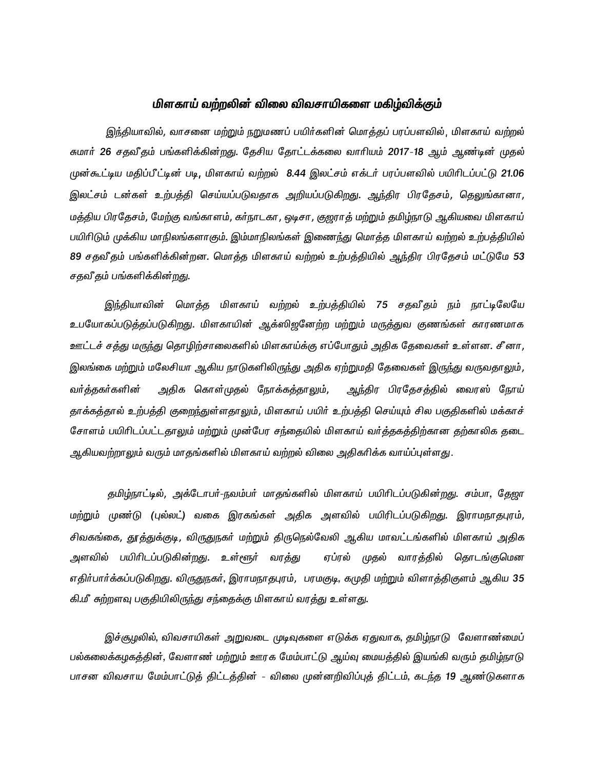# மிளகாய் வற்றலின் விலை விவசாயிகளை மகிழ்விக்கும்

இந்தியாவில், வாசனை மற்றும் நறுமணப் பயிர்களின் மொத்தப் பரப்பளவில், மிளகாய் வற்றல் சுமார் 26 சதவீதம் பங்களிக்கின்றது. தேசிய தோட்டக்கலை வாரியம் 2017-18 ஆம் ஆண்டின் முதல் முன்கூட்டிய மதிப்பீட்டின் படி, மிளகாய் வற்றல் 8.44 இலட்சம் எக்டர் பரப்பளவில் பயிரிடப்பட்டு 21.06 இலட்சம் டன்கள் உற்பத்தி செய்யப்படுவதாக அறியப்படுகிறது. <u>அந்</u>திர பிரதேசம், தெலுங்கானா, மத்திய பிரதேசம், மேற்கு வங்காளம், கர்நாடகா, ஒடிசா, குஜராத் மற்றும் தமிழ்நாடு ஆகியவை மிளகாய் பயிரிடும் முக்கிய மாநிலங்களாகும். இம்மாநிலங்கள் இணைந்து மொத்த மிளகாய் வற்றல் உற்பத்தியில் 89 சதவீதம் பங்களிக்கின்றன. மொத்த மிளகாய் வற்றல் உற்பத்தியில் ஆந்திர பிரதேசம் மட்டுமே 53 சதவீதம் பங்களிக்கின்றது.

<u>இந்</u>தியாவின் மொத்த மிளகாய் வற்றல் உற்பத்தியில் 75 சதவீதம் நம் நாட்டிலேயே உபயோகப்படுத்தப்படுகிறது. மிளகாயின் ஆக்ஸிஜனேற்ற மற்றும் மருத்துவ குணங்கள் காரணமாக ஊட்டச் சத்து மருந்து தொழிற்சாலைகளில் மிளகாய்க்கு எப்போதும் அதிக தேவைகள் உள்ளன. சீனா, இலங்கை மற்றும் மலேசியா ஆகிய நாடுகளிலிருந்து அதிக ஏற்றுமதி தேவைகள் இருந்து வருவதாலும், வர்த்தகர்களின் அதிக கொள்முதல் நோக்கத்தாலும், ஆந்திர பிரதேசத்தில் வைரஸ் நோய் தாக்கத்தால் உற்பத்தி குறைந்துள்ளதாலும், மிளகாய் பயிர் உற்பத்தி செய்யும் சில பகுதிகளில் மக்காச் சோளம் பயிரிடப்பட்டதாலும் மற்றும் முன்பேர சந்தையில் மிளகாய் வர்த்தகத்திற்கான தற்காலிக தடை ஆகியவற்றாலும் வரும் மாதங்களில் மிளகாய் வற்றல் விலை அதிகரிக்க வாய்ப்புள்ளது.

தமிழ்நாட்டில், அக்டோபர்-நவம்பர் மாதங்களில் மிளகாய் பயிரிடப்படுகின்றது. சம்பா, தேஜா மற்றும் முண்டு (புல்லட்) வகை இரகங்கள் அதிக அளவில் பயிரிடப்படுகிறது. இராமநாதபுரம், சிவகங்கை, தூத்துக்குடி, விருதுநகர் மற்றும் திருநெல்வேலி ஆகிய மாவட்டங்களில் மிளகாய் அதிக அளவில் பயிரிடப்படுகின்றது. உள்ளூர் வரத்து ஏப்ரல் முதல் வாரத்தில் தொடங்குமென எதிர்பார்க்கப்படுகிறது. விருதுநகர், இராமநாதபுரம், பரமகுடி, கமுதி மற்றும் விளாத்திகுளம் ஆகிய 35 கி.மீ சுற்றளவு பகுதியிலிருந்து சந்தைக்கு மிளகாய் வரத்து உள்ளது.

இச்சூழலில், விவசாயிகள் அறுவடை முடிவுகளை எடுக்க ஏதுவாக, தமிழ்நாடு வேளாண்மைப் பல்கலைக்கழகத்தின், வேளாண் மற்றும் ஊரக மேம்பாட்டு ஆய்வு மையத்தில் இயங்கி வரும் தமிழ்நாடு பாசன விவசாய மேம்பாட்டுத் திட்டத்தின் - விலை முன்னறிவிப்புத் திட்டம், கடந்த 19 ஆண்டுகளாக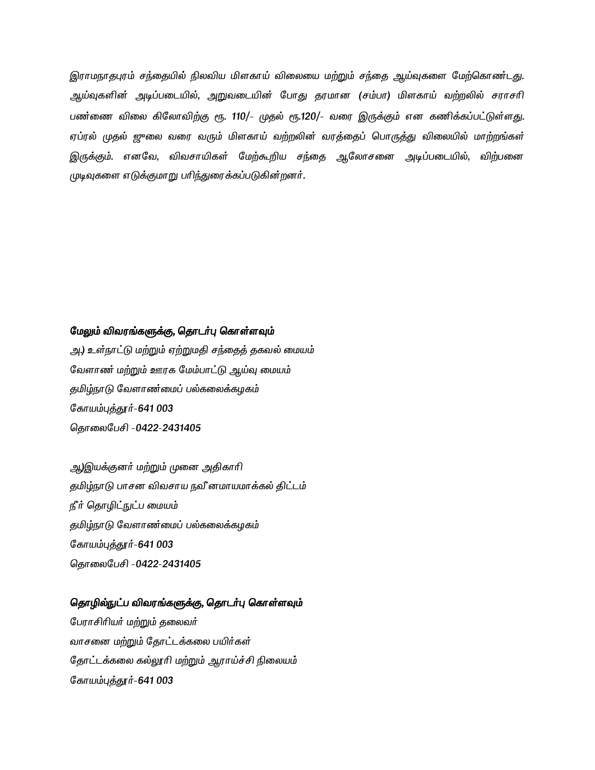இராமநாதபுரம் சந்தையில் நிலவிய மிளகாய் விலையை மற்றும் சந்தை ஆய்வுகளை மேற்கொண்டது. ஆய்வுகளின் அடிப்படையில், அறுவடையின் போது தரமான (சம்பா) மிளகாய் வற்றலில் சராசரி பண்ணை விலை கிலோவிற்கு ரூ. 110/- முதல் ரூ.120/- வரை இருக்கும் என கணிக்கப்பட்டுள்ளது. ஏப்ரல் முதல் ஜுலை வரை வரும் மிளகாய் வற்றலின் வரத்தைப் பொருத்து விலையில் மாற்றங்கள் இருக்கும். எனவே, விவசாயிகள் மேற்கூறிய சந்தை ஆலோசனை அடிப்படையில், விற்பனை முடிவுகளை எடுக்குமாறு பரிந்துரைக்கப்படுகின்றனர்.

### மேலும் விவரங்களுக்கு, தொடர்பு கொள்ளவும்

அ.) உள்நாட்டு மற்றும் ஏற்றுமதி சந்தைத் தகவல் மையம் வேளாண் மற்றும் ஊரக மேம்பாட்டு ஆய்வு மையம் தமிழ்நாடு வேளாண்மைப் பல்கலைக்கழகம் கோயம்புத்தூர்-641 003 தொலைபேசி -0422-2431405

ஆ)இயக்குனர் மற்றும் முனை அதிகாரி தமிழ்நாடு பாசன விவசாய நவீ னமாயமாக்கல் திட்டம் நீர் தொழிட்நுட்ப மையம் தமிழ்நாடு வேளாண்மைப் பல்கலைக்கழகம் கோயம்புத்தூர்-641 003 தொலைபேசி -0422-2431405

### தொழில்நுட்ப விவரங்களுக்கு, தொடர்பு கொள்ளவும்

பேராசிரியர் மற்றும் தலைவர் வாசனை மற்றும் தோட்டக்கலை பயிர்கள் தோட்டக்கலை கல்லூரி மற்றும் ஆராய்ச்சி நிலையம் கோயம்புத்தூர்-641 003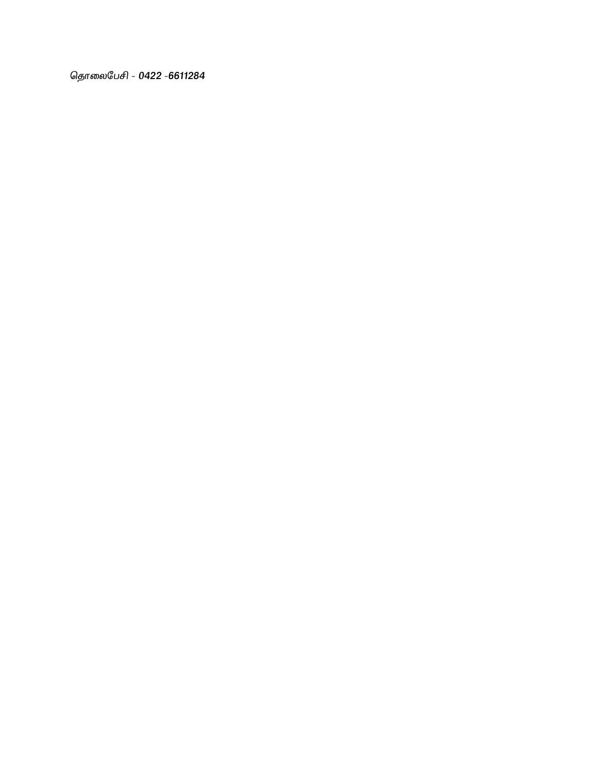தொலைபேசி - 0422 -6611284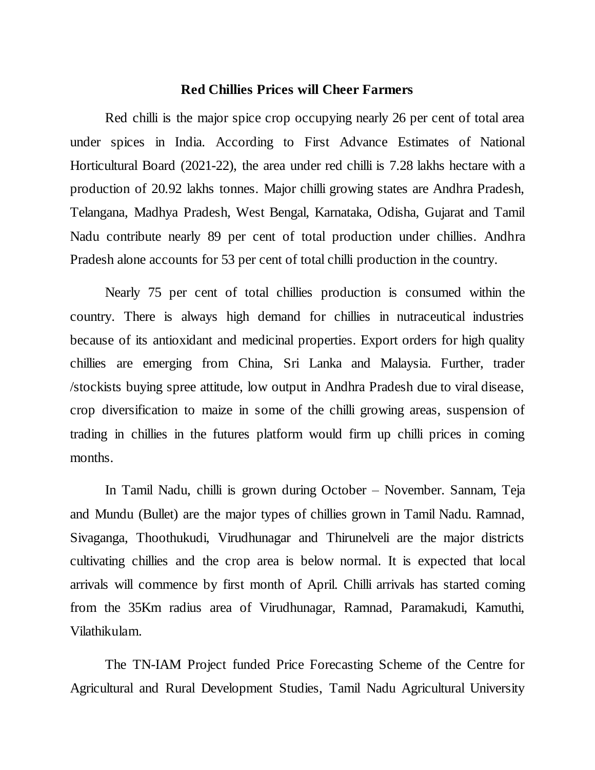# **Red Chillies Prices will Cheer Farmers**

Red chilli is the major spice crop occupying nearly 26 per cent of total area under spices in India. According to First Advance Estimates of National Horticultural Board (2021-22), the area under red chilli is 7.28 lakhs hectare with a production of 20.92 lakhs tonnes. Major chilli growing states are Andhra Pradesh, Telangana, Madhya Pradesh, West Bengal, Karnataka, Odisha, Gujarat and Tamil Nadu contribute nearly 89 per cent of total production under chillies. Andhra Pradesh alone accounts for 53 per cent of total chilli production in the country.

Nearly 75 per cent of total chillies production is consumed within the country. There is always high demand for chillies in nutraceutical industries because of its antioxidant and medicinal properties. Export orders for high quality chillies are emerging from China, Sri Lanka and Malaysia. Further, trader /stockists buying spree attitude, low output in Andhra Pradesh due to viral disease, crop diversification to maize in some of the chilli growing areas, suspension of trading in chillies in the futures platform would firm up chilli prices in coming months.

In Tamil Nadu, chilli is grown during October – November. Sannam, Teja and Mundu (Bullet) are the major types of chillies grown in Tamil Nadu. Ramnad, Sivaganga, Thoothukudi, Virudhunagar and Thirunelveli are the major districts cultivating chillies and the crop area is below normal. It is expected that local arrivals will commence by first month of April. Chilli arrivals has started coming from the 35Km radius area of Virudhunagar, Ramnad, Paramakudi, Kamuthi, Vilathikulam.

The TN-IAM Project funded Price Forecasting Scheme of the Centre for Agricultural and Rural Development Studies, Tamil Nadu Agricultural University